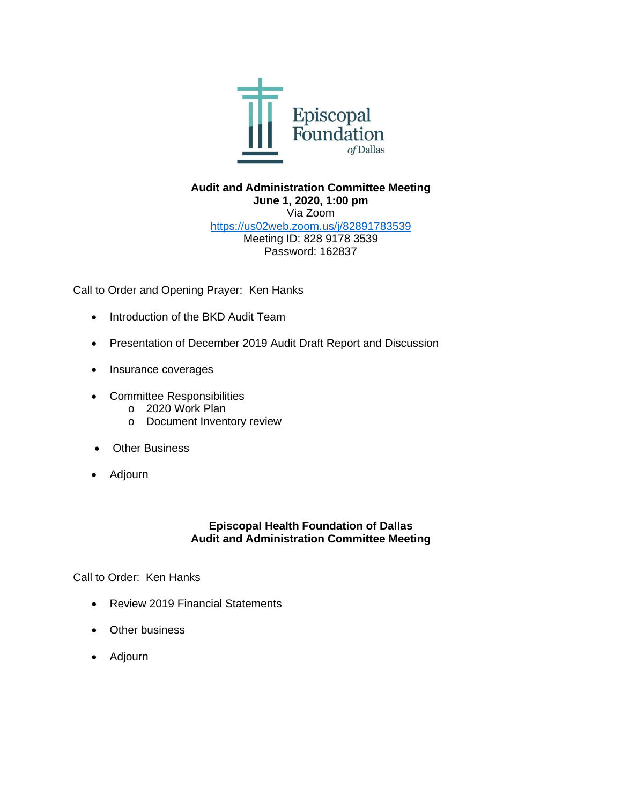

## **Audit and Administration Committee Meeting June 1, 2020, 1:00 pm** Via Zoom <https://us02web.zoom.us/j/82891783539> Meeting ID: 828 9178 3539 Password: 162837

Call to Order and Opening Prayer: Ken Hanks

- Introduction of the BKD Audit Team
- Presentation of December 2019 Audit Draft Report and Discussion
- Insurance coverages
- Committee Responsibilities
	- o 2020 Work Plan
	- o Document Inventory review
- Other Business
- Adjourn

## **Episcopal Health Foundation of Dallas Audit and Administration Committee Meeting**

Call to Order: Ken Hanks

- Review 2019 Financial Statements
- Other business
- Adjourn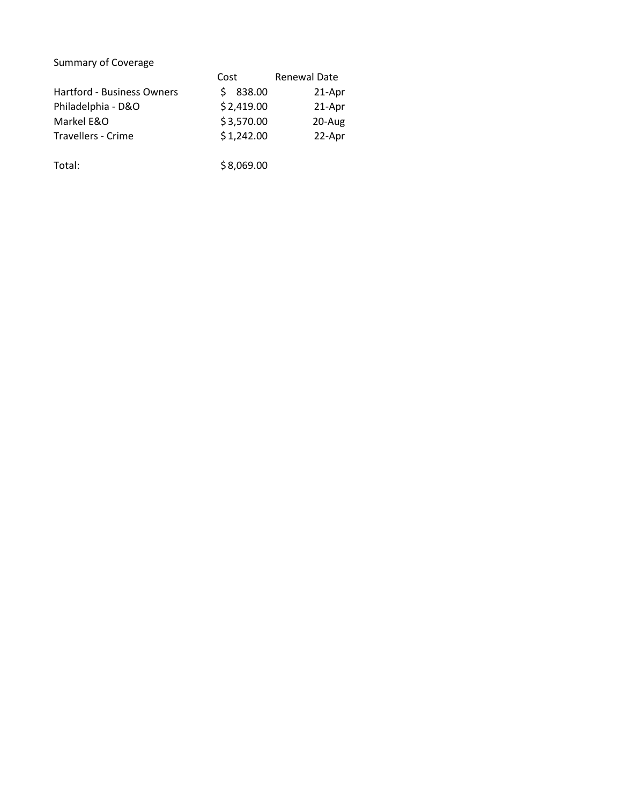## Summary of Coverage

|                                   | Cost        | <b>Renewal Date</b> |  |
|-----------------------------------|-------------|---------------------|--|
| <b>Hartford - Business Owners</b> | 838.00<br>Ś | 21-Apr              |  |
| Philadelphia - D&O                | \$2,419.00  | 21-Apr              |  |
| Markel E&O                        | \$3,570.00  | 20-Aug              |  |
| Travellers - Crime                | \$1,242.00  | 22-Apr              |  |
| Total:                            | \$8,069.00  |                     |  |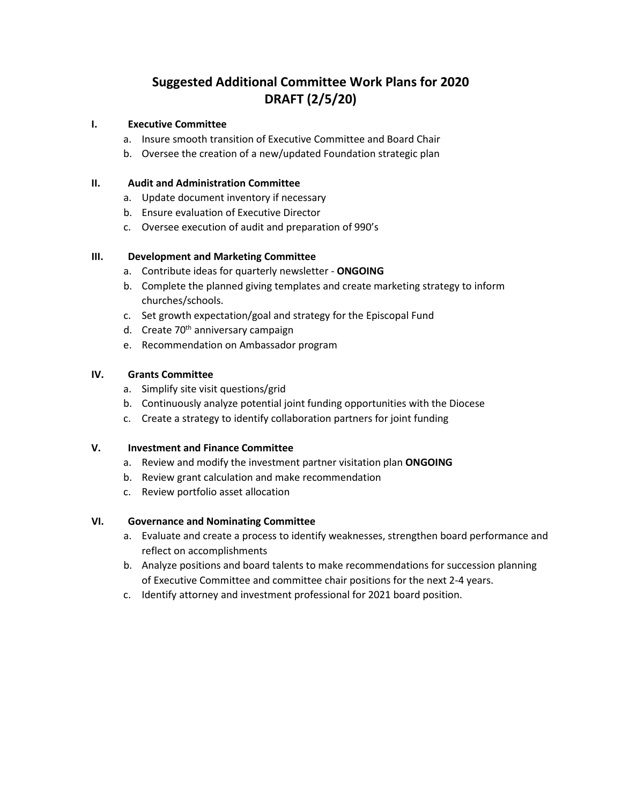# **Suggested Additional Committee Work Plans for 2020 DRAFT (2/5/20)**

#### **I. Executive Committee**

- a. Insure smooth transition of Executive Committee and Board Chair
- b. Oversee the creation of a new/updated Foundation strategic plan

#### **II. Audit and Administration Committee**

- a. Update document inventory if necessary
- b. Ensure evaluation of Executive Director
- c. Oversee execution of audit and preparation of 990's

#### **III. Development and Marketing Committee**

- a. Contribute ideas for quarterly newsletter **ONGOING**
- b. Complete the planned giving templates and create marketing strategy to inform churches/schools.
- c. Set growth expectation/goal and strategy for the Episcopal Fund
- d. Create 70<sup>th</sup> anniversary campaign
- e. Recommendation on Ambassador program

### **IV. Grants Committee**

- a. Simplify site visit questions/grid
- b. Continuously analyze potential joint funding opportunities with the Diocese
- c. Create a strategy to identify collaboration partners for joint funding

#### **V. Investment and Finance Committee**

- a. Review and modify the investment partner visitation plan **ONGOING**
- b. Review grant calculation and make recommendation
- c. Review portfolio asset allocation

#### **VI. Governance and Nominating Committee**

- a. Evaluate and create a process to identify weaknesses, strengthen board performance and reflect on accomplishments
- b. Analyze positions and board talents to make recommendations for succession planning of Executive Committee and committee chair positions for the next 2-4 years.
- c. Identify attorney and investment professional for 2021 board position.